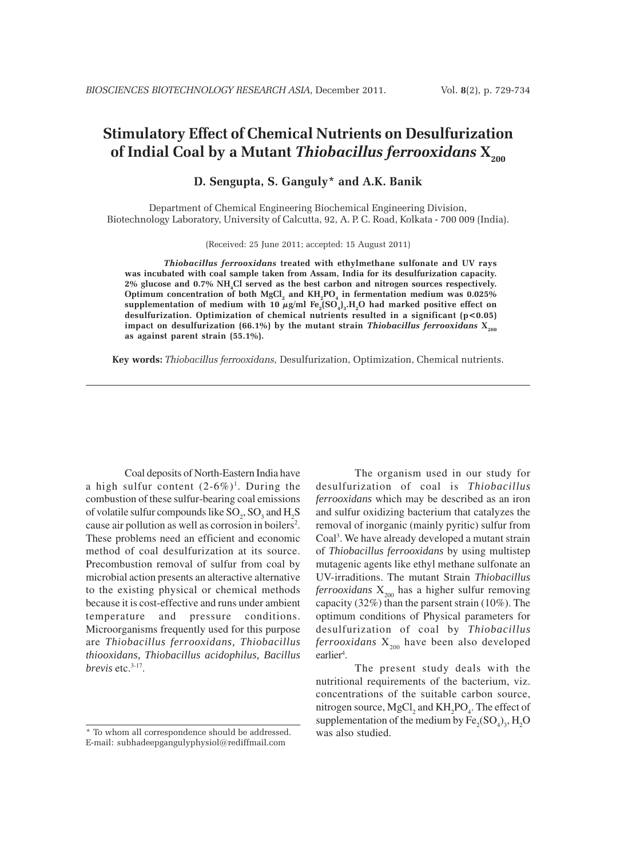# **Stimulatory Effect of Chemical Nutrients on Desulfurization** of Indial Coal by a Mutant *Thiobacillus ferrooxidans*  $X_{200}$

**D. Sengupta, S. Ganguly\* and A.K. Banik**

Department of Chemical Engineering Biochemical Engineering Division, Biotechnology Laboratory, University of Calcutta, 92, A. P. C. Road, Kolkata - 700 009 (India).

(Received: 25 June 2011; accepted: 15 August 2011)

*Thiobacillus ferrooxidans* **treated with ethylmethane sulfonate and UV rays was incubated with coal sample taken from Assam, India for its desulfurization capacity. 2% glucose and 0.7% NH4Cl served as the best carbon and nitrogen sources respectively.** Optimum concentration of both  $\mathrm{MgCl}_{_2}$  and  $\mathrm{KH}_{_2}\mathrm{PO}_{_4}$  in fermentation medium was 0.025% supplementation of medium with 10  $\mu$ g/ml Fe<sub>2</sub>(SO<sub>4</sub>)<sub>3</sub>.H<sub>2</sub>O had marked positive effect on **desulfurization. Optimization of chemical nutrients resulted in a significant (p<0.05)** impact on desulfurization (66.1%) by the mutant strain *Thiobacillus ferrooxidans* X<sub>200</sub> **as against parent strain (55.1%).**

**Key words:** *Thiobacillus ferrooxidans,* Desulfurization, Optimization, Chemical nutrients.

Coal deposits of North-Eastern India have a high sulfur content  $(2-6\%)$ <sup>1</sup>. During the combustion of these sulfur-bearing coal emissions of volatile sulfur compounds like  $SO_2$ ,  $SO_3$  and  $H_2S$ cause air pollution as well as corrosion in boilers<sup>2</sup>. These problems need an efficient and economic method of coal desulfurization at its source. Precombustion removal of sulfur from coal by microbial action presents an alteractive alternative to the existing physical or chemical methods because it is cost-effective and runs under ambient temperature and pressure conditions. Microorganisms frequently used for this purpose are *Thiobacillus ferrooxidans, Thiobacillus thiooxidans, Thiobacillus acidophilus, Bacillus brevis* etc.3-17.

The organism used in our study for desulfurization of coal is *Thiobacillus ferrooxidans* which may be described as an iron and sulfur oxidizing bacterium that catalyzes the removal of inorganic (mainly pyritic) sulfur from Coal<sup>3</sup>. We have already developed a mutant strain of *Thiobacillus ferrooxidans* by using multistep mutagenic agents like ethyl methane sulfonate an UV-irraditions. The mutant Strain *Thiobacillus ferrooxidans*  $X_{200}$  has a higher sulfur removing capacity (32%) than the parsent strain (10%). The optimum conditions of Physical parameters for desulfurization of coal by *Thiobacillus*  $f$ errooxidans  $X_{200}$  have been also developed earlier<sup>4</sup>.

The present study deals with the nutritional requirements of the bacterium, viz. concentrations of the suitable carbon source, nitrogen source,  ${MgCl}_2$  and  ${KH}_2{PO}_4$ . The effect of supplementation of the medium by  $Fe_2(SO_4)_3$ , H<sub>2</sub>O was also studied.

<sup>\*</sup> To whom all correspondence should be addressed. E-mail: subhadeepgangulyphysiol@rediffmail.com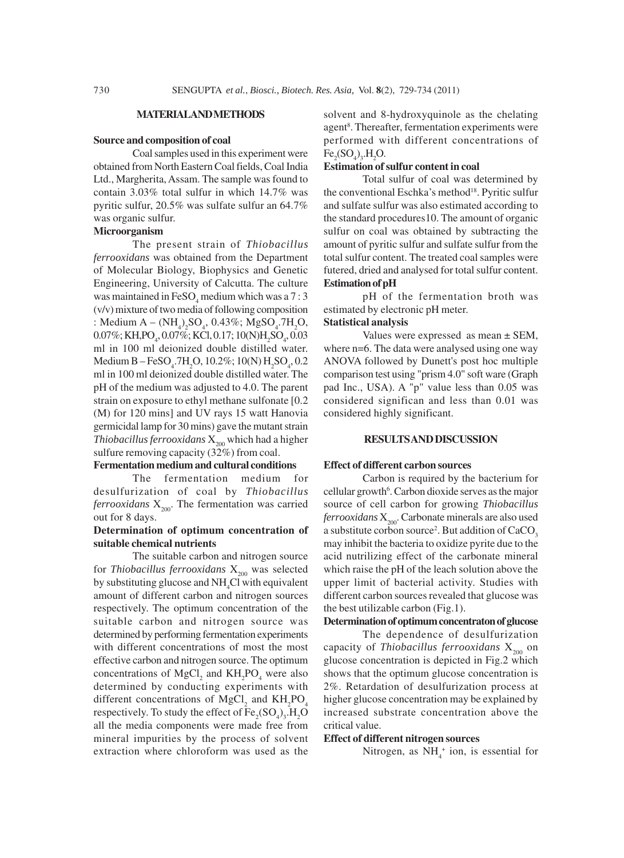#### **MATERIAL AND METHODS**

#### **Source and composition of coal**

Coal samples used in this experiment were obtained from North Eastern Coal fields, Coal India Ltd., Margherita, Assam. The sample was found to contain 3.03% total sulfur in which 14.7% was pyritic sulfur, 20.5% was sulfate sulfur an 64.7% was organic sulfur.

#### **Microorganism**

The present strain of *Thiobacillus ferrooxidans* was obtained from the Department of Molecular Biology, Biophysics and Genetic Engineering, University of Calcutta. The culture was maintained in  $\text{FeSO}_4$  medium which was a 7 : 3 (v/v) mixture of two media of following composition : Medium  $A - (NH_4)_2SO_4$ , 0.43%; MgSO<sub>4</sub>.7H<sub>2</sub>O, 0.07%; KH,PO<sub>4</sub>, 0.07%; KCl, 0.17; 10(N)H<sub>2</sub>SO<sub>4</sub>, 0.03 ml in 100 ml deionized double distilled water. Medium B – FeSO<sub>4</sub>.7H<sub>2</sub>O, 10.2%; 10(N) H<sub>2</sub>SO<sub>4</sub>, 0.2 ml in 100 ml deionized double distilled water. The pH of the medium was adjusted to 4.0. The parent strain on exposure to ethyl methane sulfonate [0.2 (M) for 120 mins] and UV rays 15 watt Hanovia germicidal lamp for 30 mins) gave the mutant strain *Thiobacillus ferrooxidans*  $X_{200}$  which had a higher sulfure removing capacity (32%) from coal.

## **Fermentation medium and cultural conditions**

The fermentation medium for desulfurization of coal by *Thiobacillus*  $f$ errooxidans  $X_{200}$ . The fermentation was carried out for 8 days.

## **Determination of optimum concentration of suitable chemical nutrients**

The suitable carbon and nitrogen source for *Thiobacillus ferrooxidans*  $X_{200}$  was selected by substituting glucose and NH<sub>4</sub>Cl with equivalent amount of different carbon and nitrogen sources respectively. The optimum concentration of the suitable carbon and nitrogen source was determined by performing fermentation experiments with different concentrations of most the most effective carbon and nitrogen source. The optimum concentrations of  $MgCl<sub>2</sub>$  and  $KH<sub>2</sub>PO<sub>4</sub>$  were also determined by conducting experiments with different concentrations of  $MgCl<sub>2</sub>$  and  $KH<sub>2</sub>PO<sub>4</sub>$ respectively. To study the effect of  $\text{Fe}_2(\text{SO}_4)_3\text{H}_2\text{O}$ all the media components were made free from mineral impurities by the process of solvent extraction where chloroform was used as the solvent and 8-hydroxyquinole as the chelating agent<sup>8</sup>. Thereafter, fermentation experiments were performed with different concentrations of  $Fe_2(SO_4)_3.H_2O.$ 

## **Estimation of sulfur content in coal**

Total sulfur of coal was determined by the conventional Eschka's method<sup>18</sup>. Pyritic sulfur and sulfate sulfur was also estimated according to the standard procedures10. The amount of organic sulfur on coal was obtained by subtracting the amount of pyritic sulfur and sulfate sulfur from the total sulfur content. The treated coal samples were futered, dried and analysed for total sulfur content. **Estimation of pH**

pH of the fermentation broth was estimated by electronic pH meter.

#### **Statistical analysis**

Values were expressed as mean ± SEM, where n=6. The data were analysed using one way ANOVA followed by Dunett's post hoc multiple comparison test using "prism 4.0" soft ware (Graph pad Inc., USA). A "p" value less than 0.05 was considered significan and less than 0.01 was considered highly significant.

#### **RESULTS AND DISCUSSION**

#### **Effect of different carbon sources**

Carbon is required by the bacterium for cellular growth<sup>6</sup>. Carbon dioxide serves as the major source of cell carbon for growing *Thiobacillus ferrooxidans* X<sub>200</sub>. Carbonate minerals are also used a substitute corbon source<sup>2</sup>. But addition of  $\rm CaCO_3$ may inhibit the bacteria to oxidize pyrite due to the acid nutrilizing effect of the carbonate mineral which raise the pH of the leach solution above the upper limit of bacterial activity. Studies with different carbon sources revealed that glucose was the best utilizable carbon (Fig.1).

## **Determination of optimum concentraton of glucose**

The dependence of desulfurization capacity of *Thiobacillus ferrooxidans* X<sub>200</sub> on glucose concentration is depicted in Fig.2 which shows that the optimum glucose concentration is 2%. Retardation of desulfurization process at higher glucose concentration may be explained by increased substrate concentration above the critical value.

#### **Effect of different nitrogen sources**

Nitrogen, as  $NH<sub>4</sub><sup>+</sup>$  ion, is essential for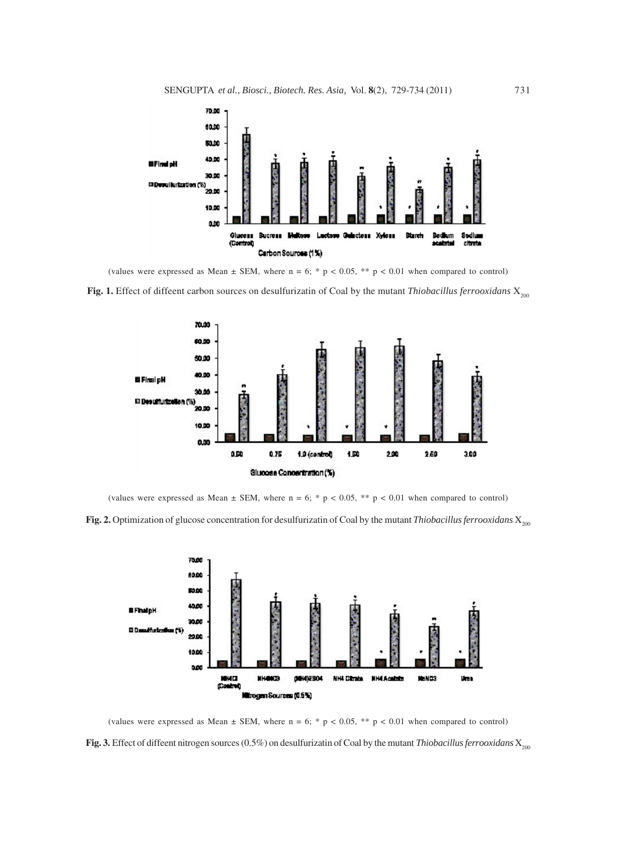

(values were expressed as Mean  $\pm$  SEM, where n = 6; \* p < 0.05, \*\* p < 0.01 when compared to control)

**Fig. 1.** Effect of diffeent carbon sources on desulfurizatin of Coal by the mutant *Thiobacillus ferrooxidans* X<sub>200</sub>



(values were expressed as Mean  $\pm$  SEM, where n = 6; \* p < 0.05, \*\* p < 0.01 when compared to control)

**Fig. 2.** Optimization of glucose concentration for desulfurizatin of Coal by the mutant *Thiobacillus ferrooxidans* X<sub>200</sub>



**Fig. 3.** Effect of diffeent nitrogen sources (0.5%) on desulfurizatin of Coal by the mutant *Thiobacillus ferrooxidans*  $X_{200}$ (values were expressed as Mean  $\pm$  SEM, where n = 6; \* p < 0.05, \*\* p < 0.01 when compared to control)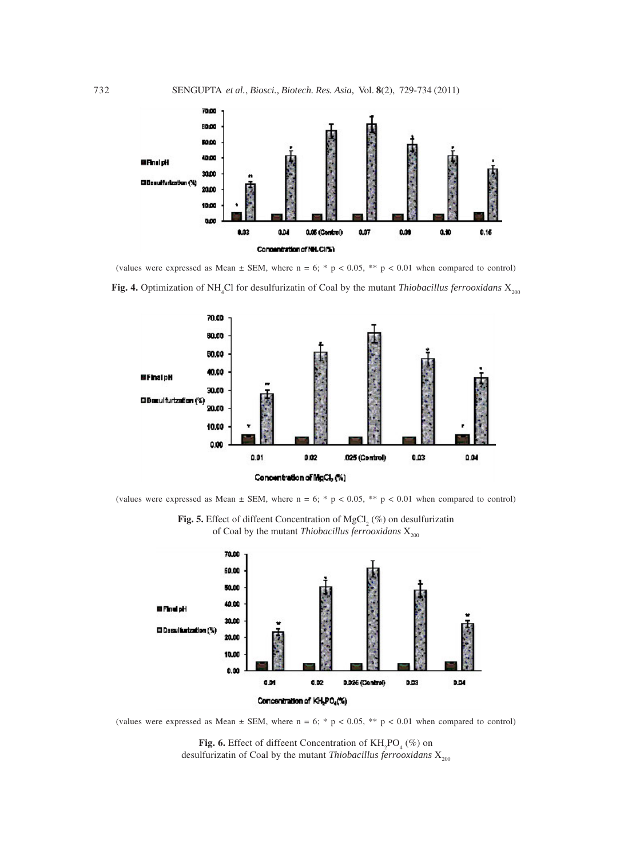

**Fig. 4.** Optimization of NH<sub>4</sub>Cl for desulfurizatin of Coal by the mutant *Thiobacillus ferrooxidans* X<sub>200</sub> (values were expressed as Mean  $\pm$  SEM, where n = 6; \* p < 0.05, \*\* p < 0.01 when compared to control)



(values were expressed as Mean  $\pm$  SEM, where n = 6; \* p < 0.05, \*\* p < 0.01 when compared to control)



(values were expressed as Mean  $\pm$  SEM, where n = 6; \* p < 0.05, \*\* p < 0.01 when compared to control)

**Fig. 6.** Effect of diffeent Concentration of  $KH_2PO_4(\%)$  on desulfurizatin of Coal by the mutant *Thiobacillus ferrooxidans* X<sub>200</sub>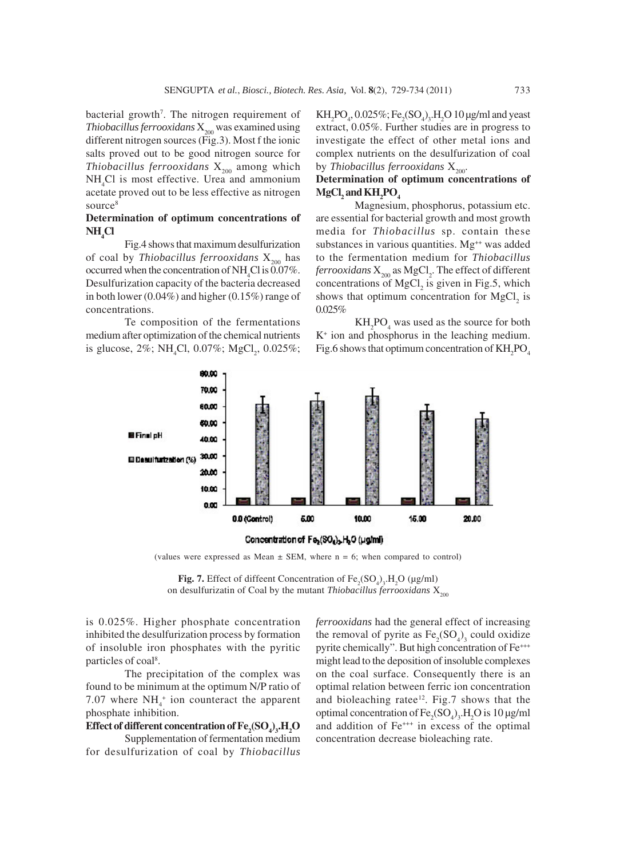bacterial growth<sup>7</sup>. The nitrogen requirement of *Thiobacillus ferrooxidans*  $X_{200}$  was examined using different nitrogen sources (Fig.3). Most f the ionic salts proved out to be good nitrogen source for *Thiobacillus ferrooxidans*  $X_{200}$  among which NH4 Cl is most effective. Urea and ammonium acetate proved out to be less effective as nitrogen source<sup>8</sup>

# **Determination of optimum concentrations of NH4 Cl**

Fig.4 shows that maximum desulfurization of coal by *Thiobacillus ferrooxidans* X<sub>200</sub> has occurred when the concentration of  $NH<sub>4</sub>Cl$  is 0.07%. Desulfurization capacity of the bacteria decreased in both lower (0.04%) and higher (0.15%) range of concentrations.

Te composition of the fermentations medium after optimization of the chemical nutrients is glucose,  $2\%$ ; NH<sub>4</sub>Cl, 0.07%; MgCl<sub>2</sub>, 0.025%;

 $KH_2PO_4$ , 0.025%;  $Fe_2(SO_4)_3.H_2O$  10 µg/ml and yeast extract, 0.05%. Further studies are in progress to investigate the effect of other metal ions and complex nutrients on the desulfurization of coal by *Thiobacillus ferrooxidans*  $X_{200}$ .

# **Determination of optimum concentrations of**  $MgCl<sub>2</sub>$  and  $KH<sub>2</sub>PO<sub>4</sub>$

Magnesium, phosphorus, potassium etc. are essential for bacterial growth and most growth media for *Thiobacillus* sp. contain these substances in various quantities. Mg<sup>++</sup> was added to the fermentation medium for *Thiobacillus*  $fervooxidans$   $\mathrm{X}_{200}$  as  $\mathrm{MgCl}_{2}$ . The effect of different concentrations of  $MgCl<sub>2</sub>$  is given in Fig.5, which shows that optimum concentration for  $MgCl<sub>2</sub>$  is 0.025%

 $KH_2PO_4$  was used as the source for both K+ ion and phosphorus in the leaching medium. Fig.6 shows that optimum concentration of  $\mathrm{KH_{2}PO_{4}}$ 



(values were expressed as Mean  $\pm$  SEM, where n = 6; when compared to control)

**Fig. 7.** Effect of diffeent Concentration of  $\text{Fe}_2(\text{SO}_4)_3$ , H<sub>2</sub>O (µg/ml) on desulfurizatin of Coal by the mutant *Thiobacillus ferrooxidans* X<sub>200</sub>

is 0.025%. Higher phosphate concentration inhibited the desulfurization process by formation of insoluble iron phosphates with the pyritic particles of coal<sup>8</sup>.

The precipitation of the complex was found to be minimum at the optimum N/P ratio of 7.07 where  $NH_4^+$  ion counteract the apparent phosphate inhibition.

# $\mathbf{Effect}$  of different concentration of  $\mathbf{Fe}_2(\mathbf{SO}_4)_3\mathbf{H}_2\mathbf{O}$

Supplementation of fermentation medium for desulfurization of coal by *Thiobacillus*

*ferrooxidans* had the general effect of increasing the removal of pyrite as  $Fe<sub>2</sub>(SO<sub>4</sub>)<sub>3</sub>$  could oxidize pyrite chemically". But high concentration of Fe<sup>+++</sup> might lead to the deposition of insoluble complexes on the coal surface. Consequently there is an optimal relation between ferric ion concentration and bioleaching ratee<sup>12</sup>. Fig.7 shows that the optimal concentration of  $\text{Fe}_2(\text{SO}_4)_3\text{,H}_2\text{O}$  is 10 µg/ml and addition of Fe<sup>+++</sup> in excess of the optimal concentration decrease bioleaching rate.